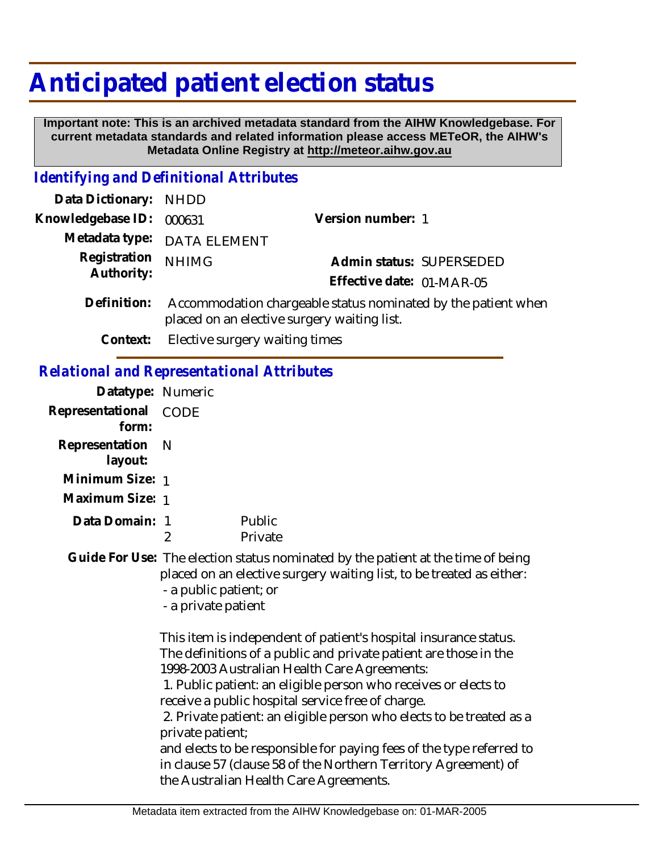## **Anticipated patient election status**

 **Important note: This is an archived metadata standard from the AIHW Knowledgebase. For current metadata standards and related information please access METeOR, the AIHW's Metadata Online Registry at http://meteor.aihw.gov.au**

## *Identifying and Definitional Attributes*

| Data Dictionary:                                  | <b>NHDD</b>                                                                                                                                                                                                                                                                                                                                                                                              |                                                       |  |
|---------------------------------------------------|----------------------------------------------------------------------------------------------------------------------------------------------------------------------------------------------------------------------------------------------------------------------------------------------------------------------------------------------------------------------------------------------------------|-------------------------------------------------------|--|
| Knowledgebase ID:                                 | 000631                                                                                                                                                                                                                                                                                                                                                                                                   | Version number: 1                                     |  |
| Metadata type:                                    | <b>DATA ELEMENT</b>                                                                                                                                                                                                                                                                                                                                                                                      |                                                       |  |
| Registration<br>Authority:                        | <b>NHIMG</b>                                                                                                                                                                                                                                                                                                                                                                                             | Admin status: SUPERSEDED<br>Effective date: 01-MAR-05 |  |
| Definition:                                       | Accommodation chargeable status nominated by the patient when<br>placed on an elective surgery waiting list.                                                                                                                                                                                                                                                                                             |                                                       |  |
| Context:                                          |                                                                                                                                                                                                                                                                                                                                                                                                          | Elective surgery waiting times                        |  |
| <b>Relational and Representational Attributes</b> |                                                                                                                                                                                                                                                                                                                                                                                                          |                                                       |  |
| Datatype: Numeric                                 |                                                                                                                                                                                                                                                                                                                                                                                                          |                                                       |  |
| Representational<br>form:                         | <b>CODE</b>                                                                                                                                                                                                                                                                                                                                                                                              |                                                       |  |
| Representation<br>layout:                         | N                                                                                                                                                                                                                                                                                                                                                                                                        |                                                       |  |
| Minimum Size: 1                                   |                                                                                                                                                                                                                                                                                                                                                                                                          |                                                       |  |
| Maximum Size: 1                                   |                                                                                                                                                                                                                                                                                                                                                                                                          |                                                       |  |
| Data Domain: 1                                    | $\overline{2}$                                                                                                                                                                                                                                                                                                                                                                                           | Public<br>Private                                     |  |
|                                                   | Guide For Use: The election status nominated by the patient at the time of being<br>placed on an elective surgery waiting list, to be treated as either:<br>- a public patient; or<br>- a private patient                                                                                                                                                                                                |                                                       |  |
|                                                   | This item is independent of patient's hospital insurance status.<br>The definitions of a public and private patient are those in the<br>1998-2003 Australian Health Care Agreements:<br>1. Public patient: an eligible person who receives or elects to<br>receive a public hospital service free of charge.<br>2. Private patient: an eligible person who elects to be treated as a<br>private patient; |                                                       |  |
|                                                   | and elects to be responsible for paying fees of the type referred to<br>in clause 57 (clause 58 of the Northern Territory Agreement) of                                                                                                                                                                                                                                                                  |                                                       |  |

the Australian Health Care Agreements.